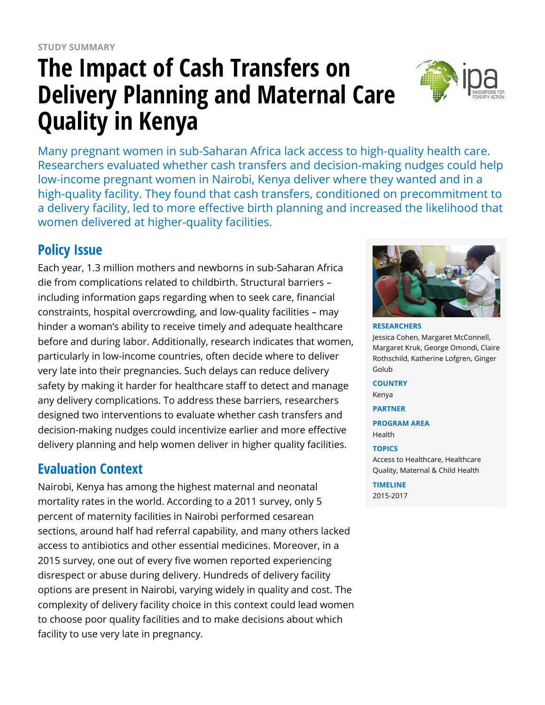# **The Impact of Cash Transfers on Delivery Planning and Maternal Care Quality in Kenya**



Many pregnant women in sub-Saharan Africa lack access to high-quality health care. Researchers evaluated whether cash transfers and decision-making nudges could help low-income pregnant women in Nairobi, Kenya deliver where they wanted and in a high-quality facility. They found that cash transfers, conditioned on precommitment to a delivery facility, led to more effective birth planning and increased the likelihood that women delivered at higher-quality facilities.

# **Policy Issue**

Each year, 1.3 million mothers and newborns in sub-Saharan Africa die from complications related to childbirth. Structural barriers – including information gaps regarding when to seek care, financial constraints, hospital overcrowding, and low-quality facilities – may hinder a woman's ability to receive timely and adequate healthcare before and during labor. Additionally, research indicates that women, particularly in low-income countries, often decide where to deliver very late into their pregnancies. Such delays can reduce delivery safety by making it harder for healthcare staff to detect and manage any delivery complications. To address these barriers, researchers designed two interventions to evaluate whether cash transfers and decision-making nudges could incentivize earlier and more effective delivery planning and help women deliver in higher quality facilities.

## **Evaluation Context**

Nairobi, Kenya has among the highest maternal and neonatal mortality rates in the world. According to a 2011 survey, only 5 percent of maternity facilities in Nairobi performed cesarean sections, around half had referral capability, and many others lacked access to antibiotics and other essential medicines. Moreover, in a 2015 survey, one out of every five women reported experiencing disrespect or abuse during delivery. Hundreds of delivery facility options are present in Nairobi, varying widely in quality and cost. The complexity of delivery facility choice in this context could lead women to choose poor quality facilities and to make decisions about which facility to use very late in pregnancy.



**RESEARCHERS** Jessica Cohen, Margaret McConnell, Margaret Kruk, George Omondi, Claire Rothschild, Katherine Lofgren, Ginger Golub

**COUNTRY** Kenya

**PARTNER**

**PROGRAM AREA** Health

#### **TOPICS**

Access to Healthcare, Healthcare Quality, Maternal & Child Health

**TIMELINE** 2015-2017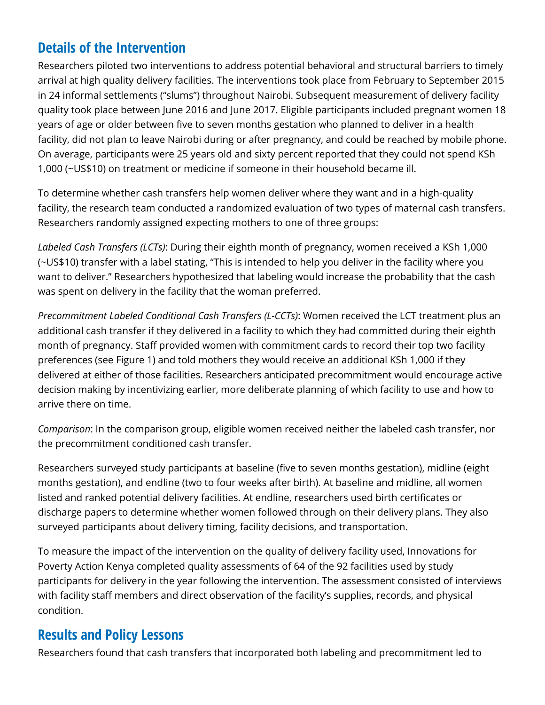## **Details of the Intervention**

Researchers piloted two interventions to address potential behavioral and structural barriers to timely arrival at high quality delivery facilities. The interventions took place from February to September 2015 in 24 informal settlements ("slums") throughout Nairobi. Subsequent measurement of delivery facility quality took place between June 2016 and June 2017. Eligible participants included pregnant women 18 years of age or older between five to seven months gestation who planned to deliver in a health facility, did not plan to leave Nairobi during or after pregnancy, and could be reached by mobile phone. On average, participants were 25 years old and sixty percent reported that they could not spend KSh 1,000 (~US\$10) on treatment or medicine if someone in their household became ill.

To determine whether cash transfers help women deliver where they want and in a high-quality facility, the research team conducted a randomized evaluation of two types of maternal cash transfers. Researchers randomly assigned expecting mothers to one of three groups:

*Labeled Cash Transfers (LCTs)*: During their eighth month of pregnancy, women received a KSh 1,000 (~US\$10) transfer with a label stating, "This is intended to help you deliver in the facility where you want to deliver." Researchers hypothesized that labeling would increase the probability that the cash was spent on delivery in the facility that the woman preferred.

*Precommitment Labeled Conditional Cash Transfers (L-CCTs)*: Women received the LCT treatment plus an additional cash transfer if they delivered in a facility to which they had committed during their eighth month of pregnancy. Staff provided women with commitment cards to record their top two facility preferences (see Figure 1) and told mothers they would receive an additional KSh 1,000 if they delivered at either of those facilities. Researchers anticipated precommitment would encourage active decision making by incentivizing earlier, more deliberate planning of which facility to use and how to arrive there on time.

*Comparison*: In the comparison group, eligible women received neither the labeled cash transfer, nor the precommitment conditioned cash transfer.

Researchers surveyed study participants at baseline (five to seven months gestation), midline (eight months gestation), and endline (two to four weeks after birth). At baseline and midline, all women listed and ranked potential delivery facilities. At endline, researchers used birth certificates or discharge papers to determine whether women followed through on their delivery plans. They also surveyed participants about delivery timing, facility decisions, and transportation.

To measure the impact of the intervention on the quality of delivery facility used, Innovations for Poverty Action Kenya completed quality assessments of 64 of the 92 facilities used by study participants for delivery in the year following the intervention. The assessment consisted of interviews with facility staff members and direct observation of the facility's supplies, records, and physical condition.

## **Results and Policy Lessons**

Researchers found that cash transfers that incorporated both labeling and precommitment led to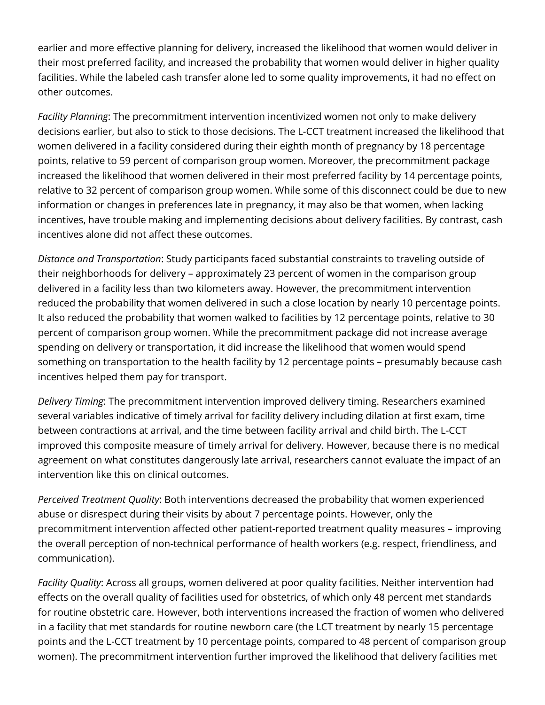earlier and more effective planning for delivery, increased the likelihood that women would deliver in their most preferred facility, and increased the probability that women would deliver in higher quality facilities. While the labeled cash transfer alone led to some quality improvements, it had no effect on other outcomes.

*Facility Planning*: The precommitment intervention incentivized women not only to make delivery decisions earlier, but also to stick to those decisions. The L-CCT treatment increased the likelihood that women delivered in a facility considered during their eighth month of pregnancy by 18 percentage points, relative to 59 percent of comparison group women. Moreover, the precommitment package increased the likelihood that women delivered in their most preferred facility by 14 percentage points, relative to 32 percent of comparison group women. While some of this disconnect could be due to new information or changes in preferences late in pregnancy, it may also be that women, when lacking incentives, have trouble making and implementing decisions about delivery facilities. By contrast, cash incentives alone did not affect these outcomes.

*Distance and Transportation*: Study participants faced substantial constraints to traveling outside of their neighborhoods for delivery – approximately 23 percent of women in the comparison group delivered in a facility less than two kilometers away. However, the precommitment intervention reduced the probability that women delivered in such a close location by nearly 10 percentage points. It also reduced the probability that women walked to facilities by 12 percentage points, relative to 30 percent of comparison group women. While the precommitment package did not increase average spending on delivery or transportation, it did increase the likelihood that women would spend something on transportation to the health facility by 12 percentage points – presumably because cash incentives helped them pay for transport.

*Delivery Timing*: The precommitment intervention improved delivery timing. Researchers examined several variables indicative of timely arrival for facility delivery including dilation at first exam, time between contractions at arrival, and the time between facility arrival and child birth. The L-CCT improved this composite measure of timely arrival for delivery. However, because there is no medical agreement on what constitutes dangerously late arrival, researchers cannot evaluate the impact of an intervention like this on clinical outcomes.

*Perceived Treatment Quality*: Both interventions decreased the probability that women experienced abuse or disrespect during their visits by about 7 percentage points. However, only the precommitment intervention affected other patient-reported treatment quality measures – improving the overall perception of non-technical performance of health workers (e.g. respect, friendliness, and communication).

*Facility Quality*: Across all groups, women delivered at poor quality facilities. Neither intervention had effects on the overall quality of facilities used for obstetrics, of which only 48 percent met standards for routine obstetric care. However, both interventions increased the fraction of women who delivered in a facility that met standards for routine newborn care (the LCT treatment by nearly 15 percentage points and the L-CCT treatment by 10 percentage points, compared to 48 percent of comparison group women). The precommitment intervention further improved the likelihood that delivery facilities met